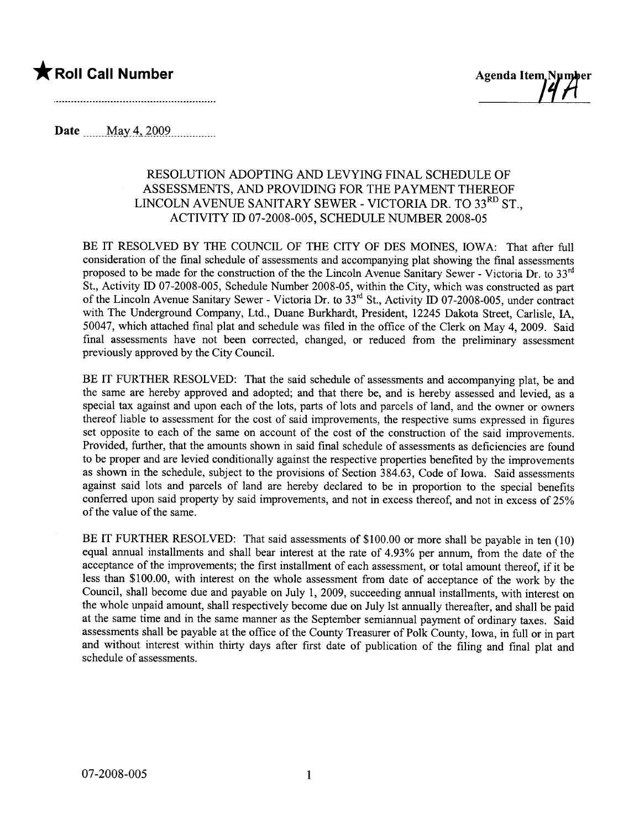



**Date** \_\_\_\_\_ May 4, 2009

### RESOLUTION ADOPTING AND LEVYING FINAL SCHEDULE OF ASSESSMENTS, AND PROVIDING FOR THE PAYMENT THEREOF LINCOLN AVENUE SANITARY SEWER - VICTORIA DR. TO 33<sup>RD</sup> ST. ACTIVITY ID 07-2008-005, SCHEDULE NUMBER 2008-05

BE IT RESOLVED BY THE COUNCIL OF THE CITY OF DES MOINES, IOWA: That after full consideration of the final schedule of assessments and accompanying plat showing the final assessments proposed to be made for the construction of the the Lincoln Avenue Sanitary Sewer - Victoria Dr. to 33 $^{\text{rd}}$ St., Activity ID 07-2008-005, Schedule Number 2008-05, within the City, which was constructed as part of the Lincoln Avenue Sanitary Sewer - Victoria Dr. to 33<sup>rd</sup> St., Activity ID 07-2008-005, under contract with The Underground Company, Ltd., Duane Burkhardt, President, 12245 Dakota Street, Carlisle, IA. 50047, which attached final plat and schedule was filed in the office of the Clerk on May 4, 2009. Said final assessments have not been corrected, changed, or reduced from the preliminary assessment previously approved by the City Council.

BE IT FURTHER RESOLVED: That the said schedule of assessments and accompanying plat, be and the same are hereby approved and adopted; and that there be, and is hereby assessed and levied, as a special tax against and upon each of the lots, parts of lots and parcels of land, and the owner or owners thereof liable to assessment for the cost of said improvements, the respective sums expressed in figures set opposite to each of the same on account of the cost of the construction of the said improvements. Provided, further, that the amounts shown in said final schedule of assessments as deficiencies are found to be proper and are levied conditionally against the respective properties benefited by the improvements as shown in the schedule, subject to the provisions of Section 384.63, Code of Iowa. Said assessments against said lots and parcels of land are hereby declared to be in proportion to the special benefits conferred upon said property by said improvements, and not in excess thereof, and not in excess of 25% of the value of the same.

BE IT FURTHER RESOLVED: That said assessments of \$100.00 or more shall be payable in ten (10) equal annual installments and shall bear interest at the rate of 4.93% per annum, from the date of the acceptance of the improvements; the first installment of each assessment, or total amount thereof, if it be less than \$100.00, with interest on the whole assessment from date of acceptance of the work by the Council, shall become due and payable on July 1, 2009, succeeding annual installments, with interest on the whole unpaid amount, shall respectively become due on July 1st annually thereafter, and shall be paid at the same time and in the same manner as the September semiannual payment of ordinary taxes. Said assessments shall be payable at the office of the County Treasurer of Polk County, Iowa, in full or in part and without interest within thirty days after first date of publication of the filing and final plat and schedule of assessments.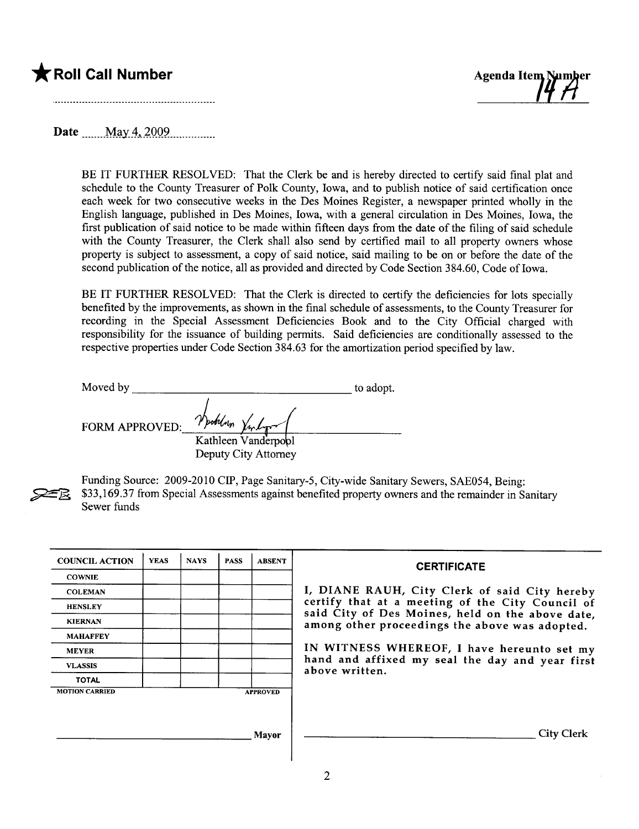



Date May 4,  $2009$ 

BE IT FURTHER RESOLVED: That the Clerk be and is hereby directed to certify said final plat and schedule to the County Treasurer of Polk County, Iowa, and to publish notice of said certification once each week for two consecutive weeks in the Des Moines Register, a newspaper printed wholly in the English language, published in Des Moines, Iowa, with a general circulation in Des Moines, Iowa, the first publication of said notice to be made within fifteen days from the date of the filing of said schedule with the County Treasurer, the Clerk shall also send by certified mail to all property owners whose property is subject to assessment, a copy of said notice, said mailing to be on or before the date of the second publication of the notice, all as provided and directed by Code Section 384.60, Code of Iowa.

BE IT FURTHER RESOLVED: That the Clerk is directed to certify the deficiencies for lots specially benefited by the improvements, as shown in the final schedule of assessments, to the County Treasurer for recording in the Special Assessment Deficiencies Book and to the City Official charged with responsibility for the issuance of building permits. Said deficiencies are conditionally assessed to the respective properties under Code Section 384.63 for the amortization period specified by law.

Moved by to adopt. FORM APPROVED:  $\frac{r\mu_{\text{total}}}{K$ athleen Vanderpool Deputy City Attorney



Funding Source: 2009-2010 CIP, Page Sanitary-5, City-wide Sanitary Sewers, SAE054, Being: \$33,169.37 from Special Assessments against benefited property owners and the remainder in Sanitary Sewer funds

| <b>COUNCIL ACTION</b> | <b>YEAS</b> | <b>NAYS</b> | <b>PASS</b> | <b>ABSENT</b>   | <b>CERTIFICATE</b>                                                                                 |
|-----------------------|-------------|-------------|-------------|-----------------|----------------------------------------------------------------------------------------------------|
| <b>COWNIE</b>         |             |             |             |                 |                                                                                                    |
| <b>COLEMAN</b>        |             |             |             |                 | I, DIANE RAUH, City Clerk of said City hereby                                                      |
| <b>HENSLEY</b>        |             |             |             |                 | certify that at a meeting of the City Council of                                                   |
| <b>KIERNAN</b>        |             |             |             |                 | said City of Des Moines, held on the above date,<br>among other proceedings the above was adopted. |
| <b>MAHAFFEY</b>       |             |             |             |                 |                                                                                                    |
| <b>MEYER</b>          |             |             |             |                 | IN WITNESS WHEREOF, I have hereunto set my                                                         |
| <b>VLASSIS</b>        |             |             |             |                 | hand and affixed my seal the day and year first<br>above written.                                  |
| <b>TOTAL</b>          |             |             |             |                 |                                                                                                    |
| <b>MOTION CARRIED</b> |             |             |             | <b>APPROVED</b> |                                                                                                    |
|                       |             |             |             |                 |                                                                                                    |
|                       |             |             |             |                 |                                                                                                    |
|                       |             |             |             | <b>Mayor</b>    | <b>City Clerk</b>                                                                                  |
|                       |             |             |             |                 |                                                                                                    |
|                       |             |             |             |                 |                                                                                                    |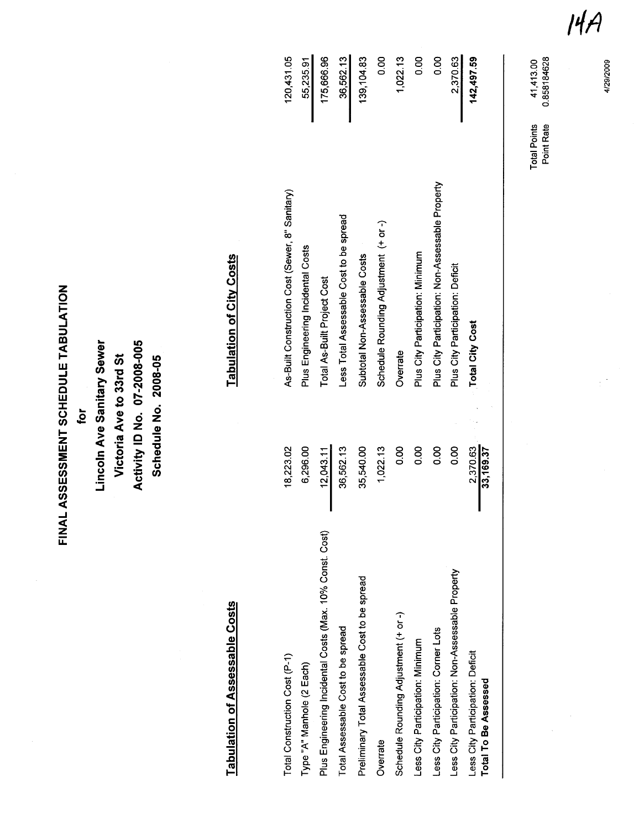FINAL ASSESSMENT SCHEDULE TABULATION FINAL ASSESSMENT SCHEDULE TABULATION

for

Activity ID No. 07-2008-005 Lincoln Ave Sanitary Sewer Lincoln Ave Sanitary Sewer Activity 10 No, 07-2008-005 Victoria Ave to 33rd St Schedule No. 2008-05 Victoria Ave to 33rd St Schedule No, 2008-05

# Tabulation of Assessable Costs Tabulation of City Costs Tabulation of Assessable Costs

### **Tabulation of City Costs**

| Total Construction Cost (P-1)                            | 18,223.02             | As-Built Construction Cost (Sewer, 8" Sanitary)  | 120,431.05 |
|----------------------------------------------------------|-----------------------|--------------------------------------------------|------------|
| Type "A" Manhole (2 Each)                                | 6,296.00              | Plus Engineering Incidental Costs                | 55,235.91  |
| Plus Engineering Incidental Costs (Max. 10% Const. Cost) | 12,043.11             | Total As-Built Project Cost                      | 175,666.96 |
| Total Assessable Cost to be spread                       | 36,562.13             | Less Total Assessable Cost to be spread          | 36,562.13  |
| Preliminary Total Assessable Cost to be spread           | 35,540.00             | Subtotal Non-Assessable Costs                    | 139,104.83 |
| Overrate                                                 | 1,022.13              | Schedule Rounding Adjustment (+ or -)            | 80         |
| Schedule Rounding Adjustment (+ or -)                    | 80                    | Overrate                                         | 1,022.13   |
| Less City Participation: Minimum                         | 800                   | Plus City Participation: Minimum                 | 80<br>0.0  |
| ess City Participation: Corner Lots                      | 80<br>0.0             | Plus City Participation: Non-Assessable Property | 0.00       |
| ess City Participation: Non-Assessable Property          | 80.0                  | Plus City Participation: Deficit                 | 2,370.63   |
| Less City Participation: Deficit<br>Total To Be Assessed | 2,370.63<br>33,169.37 | <b>Total City Cost</b>                           | 142,497.59 |
|                                                          |                       |                                                  |            |

|4,

Total Points 41,413.00 Point Rate 0.858184628

**Total Points<br>Point Rate** 

41,413.00<br>0.858184628

4/29/2009 4/29/2009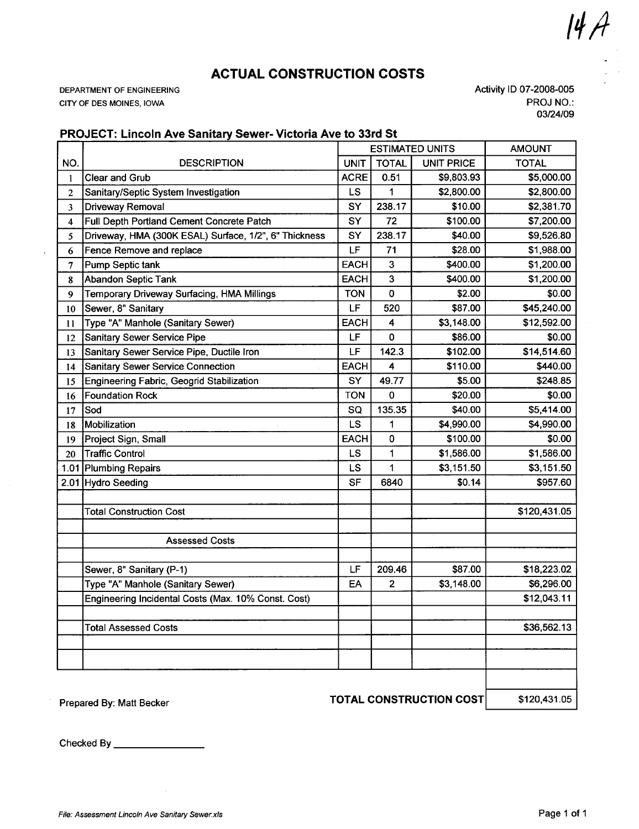ACTUAL CONSTRUCTION COSTS

DEPARTMENT OF ENGINEERING CITY OF DES MOINES, IOWA

Activity 10 07-2008-005 PROJ NO.: 03/24/09

 $|dA$ 

### PROJECT: Lincoln Ave Sanitary Sewer- Victoria Ave to 33rd St

|                |                                                       |             |              | <b>ESTIMATED UNITS</b> | <b>AMOUNT</b> |
|----------------|-------------------------------------------------------|-------------|--------------|------------------------|---------------|
| NO.            | <b>DESCRIPTION</b>                                    | <b>UNIT</b> | <b>TOTAL</b> | <b>UNIT PRICE</b>      | <b>TOTAL</b>  |
| $\mathbf{1}$   | Clear and Grub                                        | <b>ACRE</b> | 0.51         | \$9,803.93             | \$5,000.00    |
| $\overline{2}$ | Sanitary/Septic System Investigation                  | LS.         | 1            | \$2,800.00             | \$2,800.00    |
| 3              | Driveway Removal                                      | SY          | 238.17       | \$10.00                | \$2,381.70    |
| 4              | Full Depth Portland Cement Concrete Patch             | SY          | 72           | \$100.00               | \$7,200.00    |
| 5              | Driveway, HMA (300K ESAL) Surface, 1/2", 6" Thickness | SY          | 238.17       | \$40.00                | \$9,526.80    |
| 6              | Fence Remove and replace                              | LF          | 71           | \$28.00                | \$1,988.00    |
| 7              | Pump Septic tank                                      | <b>EACH</b> | 3            | \$400.00               | \$1,200.00    |
| 8              | <b>Abandon Septic Tank</b>                            | <b>EACH</b> | 3            | \$400.00               | \$1,200.00    |
| 9              | Temporary Driveway Surfacing, HMA Millings            | <b>TON</b>  | 0            | \$2.00                 | \$0.00        |
| 10             | Sewer, 8" Sanitary                                    | LF.         | 520          | \$87.00                | \$45,240.00   |
| 11             | Type "A" Manhole (Sanitary Sewer)                     | <b>EACH</b> | 4            | \$3,148.00             | \$12,592.00   |
| 12             | <b>Sanitary Sewer Service Pipe</b>                    | LF          | 0            | \$86.00                | \$0.00        |
| 13             | Sanitary Sewer Service Pipe, Ductile Iron             | LF          | 142.3        | \$102.00               | \$14,514.60   |
| 14             | Sanitary Sewer Service Connection                     | <b>EACH</b> | 4            | \$110.00               | \$440.00      |
| 15             | Engineering Fabric, Geogrid Stabilization             | SY          | 49.77        | \$5.00                 | \$248.85      |
| 16             | <b>Foundation Rock</b>                                | <b>TON</b>  | 0            | \$20.00                | \$0.00        |
| 17             | Sod                                                   | SQ          | 135.35       | \$40.00                | \$5,414.00    |
| 18             | Mobilization                                          | <b>LS</b>   | 1            | \$4,990.00             | \$4,990.00    |
| 19             | Project Sign, Small                                   | <b>EACH</b> | 0            | \$100.00               | \$0.00        |
| 20             | <b>Traffic Control</b>                                | LS.         | 1            | \$1,586.00             | \$1,586.00    |
|                | 1.01 Plumbing Repairs                                 | LS.         | 1            | \$3,151.50             | \$3,151.50    |
|                | 2.01 Hydro Seeding                                    | <b>SF</b>   | 6840         | \$0.14                 | \$957.60      |
|                |                                                       |             |              |                        |               |
|                | <b>Total Construction Cost</b>                        |             |              |                        | \$120,431.05  |
|                |                                                       |             |              |                        |               |
|                | <b>Assessed Costs</b>                                 |             |              |                        |               |
|                |                                                       |             |              |                        |               |
|                | Sewer, 8" Sanitary (P-1)                              | LF          | 209.46       | \$87.00                | \$18,223.02   |
|                | Type "A" Manhole (Sanitary Sewer)                     | EA          | 2            | \$3,148.00             | \$6,296.00    |
|                | Engineering Incidental Costs (Max. 10% Const. Cost)   |             |              |                        | \$12,043.11   |
|                |                                                       |             |              |                        |               |
|                | <b>Total Assessed Costs</b>                           |             |              |                        | \$36,562.13   |
|                |                                                       |             |              |                        |               |
|                |                                                       |             |              |                        |               |
|                |                                                       |             |              |                        |               |
|                |                                                       |             |              |                        |               |

Prepared By: Matt Becker **TOTAL CONSTRUCTION COST** \$120,431.05

Checked By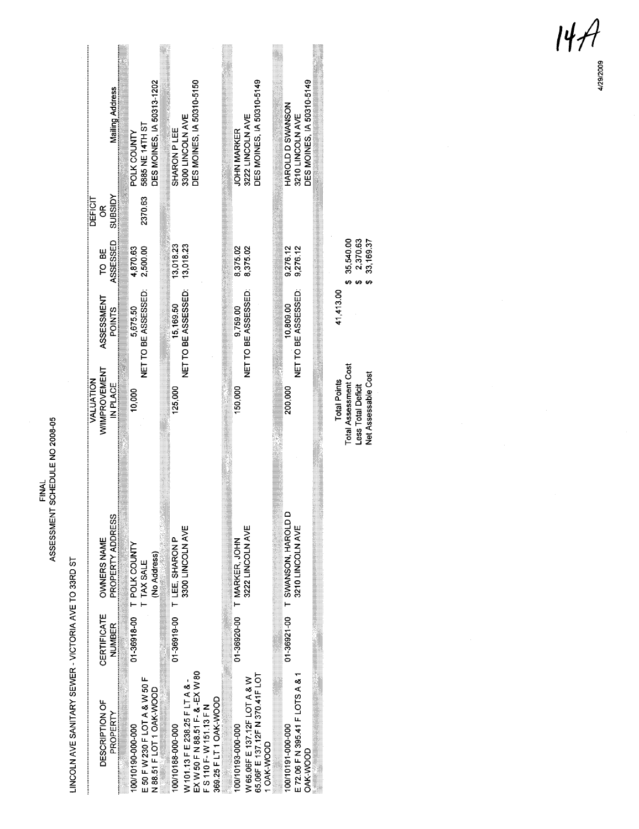LINCOLN AVE SANITARY SEWER - VICTORIA AVE TO 33RD ST

| DES MOINES, IA 50310-5149<br><b>DES MOINES, IA 50310-5149</b><br>HAROLD D SWANSON<br>3210 LINCOLN AVE<br>3222 LINCOLN AVE<br><b>JOHN MARKER</b><br>8,375.02<br>8,375.02<br>9,276.12<br>9,276.12<br>NET TO BE ASSESSED:<br>NET TO BE ASSESSED:<br>10,809.00<br>9,759.00<br>150,000<br>200,000<br>01-36921-00 T SWANSON, HAROLD D<br>3210 LINCOLN AVE<br>3222 LINCOLN AVE<br>01-36920-00 T MARKER, JOHN | DES MOINES, IA 50310-5150<br>3300 LINCOLN AVE<br>SHARON PLEE<br>3,018.23<br>13,018.23<br>NET TO BE ASSESSED:<br>5,169.50<br>125,000<br>3300 LINCOLN AVE<br>01-36919-00 T LEE, SHARON P | DES MOINES, IA 50313-1202<br>5885 NE 14TH ST<br>POLK COUNTY<br>2370.63<br>2,500.00<br>4,870.63<br>NET TO BE ASSESSED:<br>5,675.50<br>10,000<br>01-36918-00 T POLK COUNTY<br>(No Address)<br>TAX SALE<br>.<br>⊢ | Mailing Address<br>NGISEUS<br><b>DEFICIT</b><br>g<br>ASSESSED<br>TO BE<br>ASSESSMENT<br><b>POINTS</b><br>WIMPROVEMENT<br>VALUATION<br>IN PLACE<br>PROPERTY ADDRESS<br>OWNERS NAME<br>CERTIFICATE<br><b>NUMBER</b><br>DESCRIPTION OF<br>PROPERTY |  |  |  |  |  |  | EX W 50 F N 88.51 F- & -EX W 80<br>F S 110 F- W 151.13 F N<br>65.06F E 137.12F N 370.41F LOT<br>E 72.06 F N 395.41 F LOTS A & 1<br>E 50 F W 230 F LOT A & W 50 F<br>W 65.06F E 137.12F LOT A & W<br>W 101.13 F E 238.25 F LT A & -<br>N 88.51 F LOT 1 OAK-WOOD<br>369.25 F LT 1 OAK-WOOD<br>100/10188-000-000<br>100/10190-000-000<br>100/10193-000-000<br>100/10191-000-000<br>1 OAK-WOOD<br>OAK-WOOD |
|-------------------------------------------------------------------------------------------------------------------------------------------------------------------------------------------------------------------------------------------------------------------------------------------------------------------------------------------------------------------------------------------------------|----------------------------------------------------------------------------------------------------------------------------------------------------------------------------------------|----------------------------------------------------------------------------------------------------------------------------------------------------------------------------------------------------------------|-------------------------------------------------------------------------------------------------------------------------------------------------------------------------------------------------------------------------------------------------|--|--|--|--|--|--|--------------------------------------------------------------------------------------------------------------------------------------------------------------------------------------------------------------------------------------------------------------------------------------------------------------------------------------------------------------------------------------------------------|
|-------------------------------------------------------------------------------------------------------------------------------------------------------------------------------------------------------------------------------------------------------------------------------------------------------------------------------------------------------------------------------------------------------|----------------------------------------------------------------------------------------------------------------------------------------------------------------------------------------|----------------------------------------------------------------------------------------------------------------------------------------------------------------------------------------------------------------|-------------------------------------------------------------------------------------------------------------------------------------------------------------------------------------------------------------------------------------------------|--|--|--|--|--|--|--------------------------------------------------------------------------------------------------------------------------------------------------------------------------------------------------------------------------------------------------------------------------------------------------------------------------------------------------------------------------------------------------------|

 $$35,540.00$ <br> $$2,370.63$ <br> $$33,169.37$ 41,413.00 Total Points<br>Total Assessment Cost<br>Less Total Deficit<br>Net Assessable Cost

 $\begin{array}{cc} \n\mu & \mathcal{A} \\
\downarrow & \mathcal{B} \\
\downarrow & \mathcal{B} \\
\downarrow & \mathcal{B} \\
\downarrow & \mathcal{B} \\
\downarrow & \mathcal{B} \\
\downarrow & \mathcal{B} \\
\downarrow & \mathcal{B} \\
\downarrow & \mathcal{B} \\
\downarrow & \mathcal{B} \\
\downarrow & \mathcal{B} \\
\downarrow & \mathcal{B} \\
\downarrow & \mathcal{B} \\
\downarrow & \mathcal{B} \\
\downarrow & \mathcal{B} \\
\downarrow & \mathcal{B} \\
\downarrow & \mathcal{B} \\
\downarrow & \mathcal{B} \\
\downarrow & \mathcal{B} \\
\downarrow$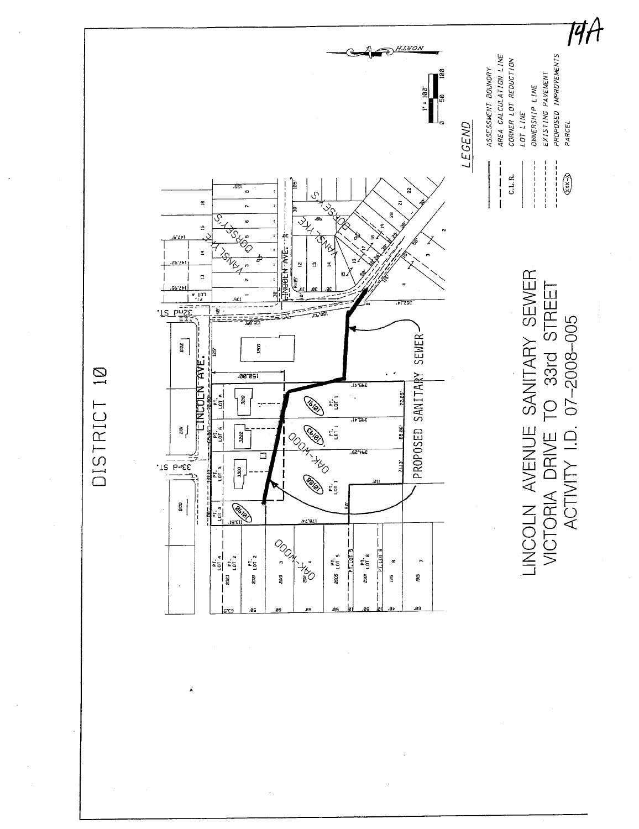